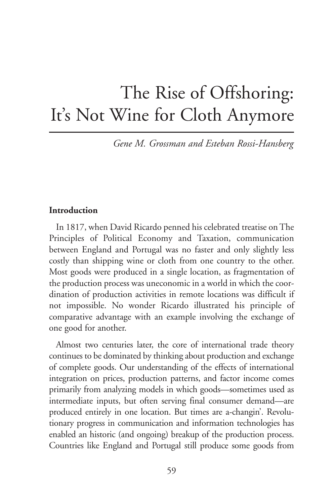# The Rise of Offshoring: It's Not Wine for Cloth Anymore

*Gene M. Grossman and Esteban Rossi-Hansberg*

# **Introduction**

In 1817, when David Ricardo penned his celebrated treatise on The Principles of Political Economy and Taxation, communication between England and Portugal was no faster and only slightly less costly than shipping wine or cloth from one country to the other. Most goods were produced in a single location, as fragmentation of the production process was uneconomic in a world in which the coordination of production activities in remote locations was difficult if not impossible. No wonder Ricardo illustrated his principle of comparative advantage with an example involving the exchange of one good for another.

Almost two centuries later, the core of international trade theory continues to be dominated by thinking about production and exchange of complete goods. Our understanding of the effects of international integration on prices, production patterns, and factor income comes primarily from analyzing models in which goods—sometimes used as intermediate inputs, but often serving final consumer demand—are produced entirely in one location. But times are a-changin'. Revolutionary progress in communication and information technologies has enabled an historic (and ongoing) breakup of the production process. Countries like England and Portugal still produce some goods from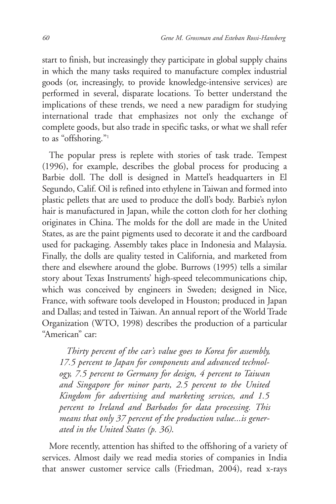start to finish, but increasingly they participate in global supply chains in which the many tasks required to manufacture complex industrial goods (or, increasingly, to provide knowledge-intensive services) are performed in several, disparate locations. To better understand the implications of these trends, we need a new paradigm for studying international trade that emphasizes not only the exchange of complete goods, but also trade in specific tasks, or what we shall refer to as "offshoring."<sup>1</sup>

The popular press is replete with stories of task trade. Tempest (1996), for example, describes the global process for producing a Barbie doll. The doll is designed in Mattel's headquarters in El Segundo, Calif. Oil is refined into ethylene in Taiwan and formed into plastic pellets that are used to produce the doll's body. Barbie's nylon hair is manufactured in Japan, while the cotton cloth for her clothing originates in China. The molds for the doll are made in the United States, as are the paint pigments used to decorate it and the cardboard used for packaging. Assembly takes place in Indonesia and Malaysia. Finally, the dolls are quality tested in California, and marketed from there and elsewhere around the globe. Burrows (1995) tells a similar story about Texas Instruments' high-speed telecommunications chip, which was conceived by engineers in Sweden; designed in Nice, France, with software tools developed in Houston; produced in Japan and Dallas; and tested in Taiwan. An annual report of the World Trade Organization (WTO, 1998) describes the production of a particular "American" car:

*Thirty percent of the car's value goes to Korea for assembly, 17.5 percent to Japan for components and advanced technology, 7.5 percent to Germany for design, 4 percent to Taiwan and Singapore for minor parts, 2.5 percent to the United Kingdom for advertising and marketing services, and 1.5 percent to Ireland and Barbados for data processing. This means that only 37 percent of the production value...is generated in the United States (p. 36)*.

More recently, attention has shifted to the offshoring of a variety of services. Almost daily we read media stories of companies in India that answer customer service calls (Friedman, 2004), read x-rays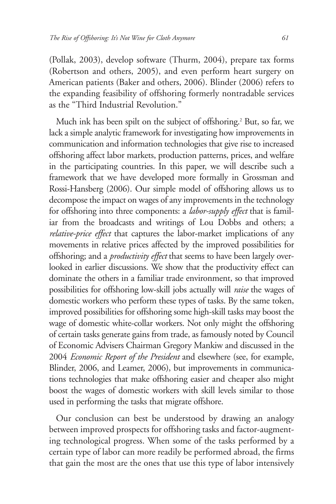(Pollak, 2003), develop software (Thurm, 2004), prepare tax forms (Robertson and others, 2005), and even perform heart surgery on American patients (Baker and others, 2006). Blinder (2006) refers to the expanding feasibility of offshoring formerly nontradable services as the "Third Industrial Revolution."

Much ink has been spilt on the subject of offshoring.<sup>2</sup> But, so far, we lack a simple analytic framework for investigating how improvements in communication and information technologies that give rise to increased offshoring affect labor markets, production patterns, prices, and welfare in the participating countries. In this paper, we will describe such a framework that we have developed more formally in Grossman and Rossi-Hansberg (2006). Our simple model of offshoring allows us to decompose the impact on wages of any improvements in the technology for offshoring into three components: a *labor-supply effect* that is familiar from the broadcasts and writings of Lou Dobbs and others; a *relative-price effect* that captures the labor-market implications of any movements in relative prices affected by the improved possibilities for offshoring; and a *productivity effect* that seems to have been largely overlooked in earlier discussions. We show that the productivity effect can dominate the others in a familiar trade environment, so that improved possibilities for offshoring low-skill jobs actually will *raise* the wages of domestic workers who perform these types of tasks. By the same token, improved possibilities for offshoring some high-skill tasks may boost the wage of domestic white-collar workers. Not only might the offshoring of certain tasks generate gains from trade, as famously noted by Council of Economic Advisers Chairman Gregory Mankiw and discussed in the 2004 *Economic Report of the President* and elsewhere (see, for example, Blinder, 2006, and Leamer, 2006), but improvements in communications technologies that make offshoring easier and cheaper also might boost the wages of domestic workers with skill levels similar to those used in performing the tasks that migrate offshore.

Our conclusion can best be understood by drawing an analogy between improved prospects for offshoring tasks and factor-augmenting technological progress. When some of the tasks performed by a certain type of labor can more readily be performed abroad, the firms that gain the most are the ones that use this type of labor intensively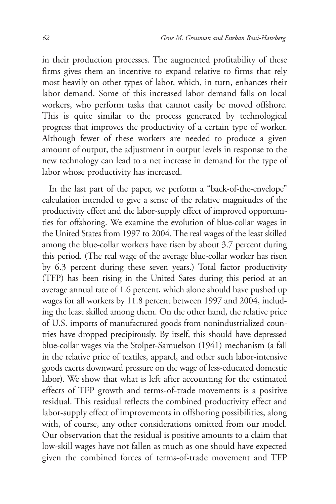in their production processes. The augmented profitability of these firms gives them an incentive to expand relative to firms that rely most heavily on other types of labor, which, in turn, enhances their labor demand. Some of this increased labor demand falls on local workers, who perform tasks that cannot easily be moved offshore. This is quite similar to the process generated by technological progress that improves the productivity of a certain type of worker. Although fewer of these workers are needed to produce a given amount of output, the adjustment in output levels in response to the new technology can lead to a net increase in demand for the type of labor whose productivity has increased.

In the last part of the paper, we perform a "back-of-the-envelope" calculation intended to give a sense of the relative magnitudes of the productivity effect and the labor-supply effect of improved opportunities for offshoring. We examine the evolution of blue-collar wages in the United States from 1997 to 2004. The real wages of the least skilled among the blue-collar workers have risen by about 3.7 percent during this period. (The real wage of the average blue-collar worker has risen by 6.3 percent during these seven years.) Total factor productivity (TFP) has been rising in the United Sates during this period at an average annual rate of 1.6 percent, which alone should have pushed up wages for all workers by 11.8 percent between 1997 and 2004, including the least skilled among them. On the other hand, the relative price of U.S. imports of manufactured goods from nonindustrialized countries have dropped precipitously. By itself, this should have depressed blue-collar wages via the Stolper-Samuelson (1941) mechanism (a fall in the relative price of textiles, apparel, and other such labor-intensive goods exerts downward pressure on the wage of less-educated domestic labor). We show that what is left after accounting for the estimated effects of TFP growth and terms-of-trade movements is a positive residual. This residual reflects the combined productivity effect and labor-supply effect of improvements in offshoring possibilities, along with, of course, any other considerations omitted from our model. Our observation that the residual is positive amounts to a claim that low-skill wages have not fallen as much as one should have expected given the combined forces of terms-of-trade movement and TFP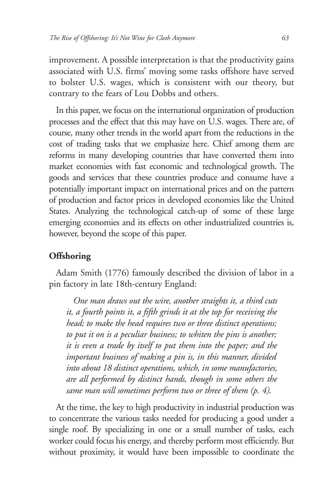improvement. A possible interpretation is that the productivity gains associated with U.S. firms' moving some tasks offshore have served to bolster U.S. wages, which is consistent with our theory, but contrary to the fears of Lou Dobbs and others.

In this paper, we focus on the international organization of production processes and the effect that this may have on U.S. wages. There are, of course, many other trends in the world apart from the reductions in the cost of trading tasks that we emphasize here. Chief among them are reforms in many developing countries that have converted them into market economies with fast economic and technological growth. The goods and services that these countries produce and consume have a potentially important impact on international prices and on the pattern of production and factor prices in developed economies like the United States. Analyzing the technological catch-up of some of these large emerging economies and its effects on other industrialized countries is, however, beyond the scope of this paper.

# **Offshoring**

Adam Smith (1776) famously described the division of labor in a pin factory in late 18th-century England:

*One man draws out the wire, another straights it, a third cuts it, a fourth points it, a fifth grinds it at the top for receiving the head; to make the head requires two or three distinct operations; to put it on is a peculiar business; to whiten the pins is another; it is even a trade by itself to put them into the paper; and the important business of making a pin is, in this manner, divided into about 18 distinct operations, which, in some manufactories, are all performed by distinct hands, though in some others the same man will sometimes perform two or three of them (p. 4)*.

At the time, the key to high productivity in industrial production was to concentrate the various tasks needed for producing a good under a single roof. By specializing in one or a small number of tasks, each worker could focus his energy, and thereby perform most efficiently. But without proximity, it would have been impossible to coordinate the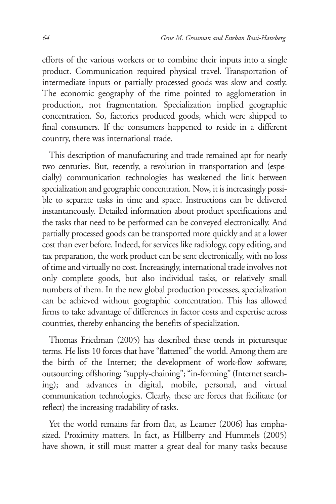efforts of the various workers or to combine their inputs into a single product. Communication required physical travel. Transportation of intermediate inputs or partially processed goods was slow and costly. The economic geography of the time pointed to agglomeration in production, not fragmentation. Specialization implied geographic concentration. So, factories produced goods, which were shipped to final consumers. If the consumers happened to reside in a different country, there was international trade.

This description of manufacturing and trade remained apt for nearly two centuries. But, recently, a revolution in transportation and (especially) communication technologies has weakened the link between specialization and geographic concentration. Now, it is increasingly possible to separate tasks in time and space. Instructions can be delivered instantaneously. Detailed information about product specifications and the tasks that need to be performed can be conveyed electronically. And partially processed goods can be transported more quickly and at a lower cost than ever before. Indeed, for services like radiology, copy editing, and tax preparation, the work product can be sent electronically, with no loss of time and virtually no cost. Increasingly, international trade involves not only complete goods, but also individual tasks, or relatively small numbers of them. In the new global production processes, specialization can be achieved without geographic concentration. This has allowed firms to take advantage of differences in factor costs and expertise across countries, thereby enhancing the benefits of specialization.

Thomas Friedman (2005) has described these trends in picturesque terms. He lists 10 forces that have "flattened" the world. Among them are the birth of the Internet; the development of work-flow software; outsourcing; offshoring; "supply-chaining"; "in-forming" (Internet searching); and advances in digital, mobile, personal, and virtual communication technologies. Clearly, these are forces that facilitate (or reflect) the increasing tradability of tasks.

Yet the world remains far from flat, as Leamer (2006) has emphasized. Proximity matters. In fact, as Hillberry and Hummels (2005) have shown, it still must matter a great deal for many tasks because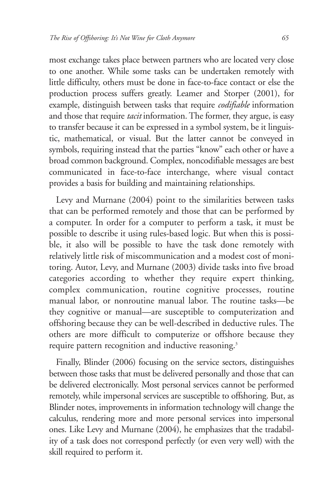most exchange takes place between partners who are located very close to one another. While some tasks can be undertaken remotely with little difficulty, others must be done in face-to-face contact or else the production process suffers greatly. Leamer and Storper (2001), for example, distinguish between tasks that require *codifiable* information and those that require *tacit* information. The former, they argue, is easy to transfer because it can be expressed in a symbol system, be it linguistic, mathematical, or visual. But the latter cannot be conveyed in symbols, requiring instead that the parties "know" each other or have a broad common background. Complex, noncodifiable messages are best communicated in face-to-face interchange, where visual contact provides a basis for building and maintaining relationships.

Levy and Murnane (2004) point to the similarities between tasks that can be performed remotely and those that can be performed by a computer. In order for a computer to perform a task, it must be possible to describe it using rules-based logic. But when this is possible, it also will be possible to have the task done remotely with relatively little risk of miscommunication and a modest cost of monitoring. Autor, Levy, and Murnane (2003) divide tasks into five broad categories according to whether they require expert thinking, complex communication, routine cognitive processes, routine manual labor, or nonroutine manual labor. The routine tasks—be they cognitive or manual—are susceptible to computerization and offshoring because they can be well-described in deductive rules. The others are more difficult to computerize or offshore because they require pattern recognition and inductive reasoning.<sup>3</sup>

Finally, Blinder (2006) focusing on the service sectors, distinguishes between those tasks that must be delivered personally and those that can be delivered electronically. Most personal services cannot be performed remotely, while impersonal services are susceptible to offshoring. But, as Blinder notes, improvements in information technology will change the calculus, rendering more and more personal services into impersonal ones. Like Levy and Murnane (2004), he emphasizes that the tradability of a task does not correspond perfectly (or even very well) with the skill required to perform it.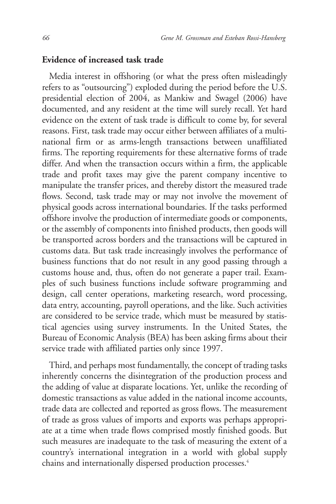#### **Evidence of increased task trade**

Media interest in offshoring (or what the press often misleadingly refers to as "outsourcing") exploded during the period before the U.S. presidential election of 2004, as Mankiw and Swagel (2006) have documented, and any resident at the time will surely recall. Yet hard evidence on the extent of task trade is difficult to come by, for several reasons. First, task trade may occur either between affiliates of a multinational firm or as arms-length transactions between unaffiliated firms. The reporting requirements for these alternative forms of trade differ. And when the transaction occurs within a firm, the applicable trade and profit taxes may give the parent company incentive to manipulate the transfer prices, and thereby distort the measured trade flows. Second, task trade may or may not involve the movement of physical goods across international boundaries. If the tasks performed offshore involve the production of intermediate goods or components, or the assembly of components into finished products, then goods will be transported across borders and the transactions will be captured in customs data. But task trade increasingly involves the performance of business functions that do not result in any good passing through a customs house and, thus, often do not generate a paper trail. Examples of such business functions include software programming and design, call center operations, marketing research, word processing, data entry, accounting, payroll operations, and the like. Such activities are considered to be service trade, which must be measured by statistical agencies using survey instruments. In the United States, the Bureau of Economic Analysis (BEA) has been asking firms about their service trade with affiliated parties only since 1997.

Third, and perhaps most fundamentally, the concept of trading tasks inherently concerns the disintegration of the production process and the adding of value at disparate locations. Yet, unlike the recording of domestic transactions as value added in the national income accounts, trade data are collected and reported as gross flows. The measurement of trade as gross values of imports and exports was perhaps appropriate at a time when trade flows comprised mostly finished goods. But such measures are inadequate to the task of measuring the extent of a country's international integration in a world with global supply chains and internationally dispersed production processes.<sup>4</sup>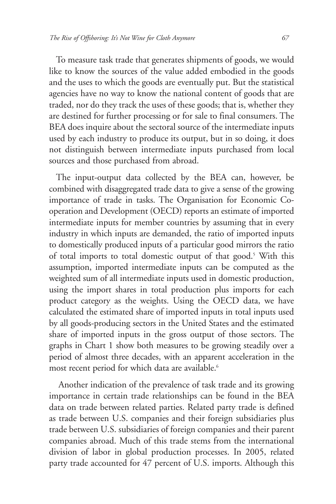To measure task trade that generates shipments of goods, we would like to know the sources of the value added embodied in the goods and the uses to which the goods are eventually put. But the statistical agencies have no way to know the national content of goods that are traded, nor do they track the uses of these goods; that is, whether they are destined for further processing or for sale to final consumers. The BEA does inquire about the sectoral source of the intermediate inputs used by each industry to produce its output, but in so doing, it does not distinguish between intermediate inputs purchased from local sources and those purchased from abroad.

The input-output data collected by the BEA can, however, be combined with disaggregated trade data to give a sense of the growing importance of trade in tasks. The Organisation for Economic Cooperation and Development (OECD) reports an estimate of imported intermediate inputs for member countries by assuming that in every industry in which inputs are demanded, the ratio of imported inputs to domestically produced inputs of a particular good mirrors the ratio of total imports to total domestic output of that good.<sup>5</sup> With this assumption, imported intermediate inputs can be computed as the weighted sum of all intermediate inputs used in domestic production, using the import shares in total production plus imports for each product category as the weights. Using the OECD data, we have calculated the estimated share of imported inputs in total inputs used by all goods-producing sectors in the United States and the estimated share of imported inputs in the gross output of those sectors. The graphs in Chart 1 show both measures to be growing steadily over a period of almost three decades, with an apparent acceleration in the most recent period for which data are available.<sup>6</sup>

Another indication of the prevalence of task trade and its growing importance in certain trade relationships can be found in the BEA data on trade between related parties. Related party trade is defined as trade between U.S. companies and their foreign subsidiaries plus trade between U.S. subsidiaries of foreign companies and their parent companies abroad. Much of this trade stems from the international division of labor in global production processes. In 2005, related party trade accounted for 47 percent of U.S. imports. Although this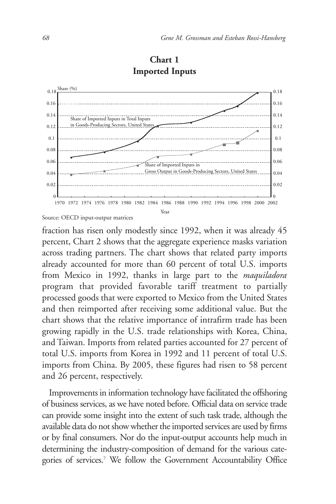

# **Chart 1 Imported Inputs**

Source: OECD input-output matrices

fraction has risen only modestly since 1992, when it was already 45 percent, Chart 2 shows that the aggregate experience masks variation across trading partners. The chart shows that related party imports already accounted for more than 60 percent of total U.S. imports from Mexico in 1992, thanks in large part to the *maquiladora* program that provided favorable tariff treatment to partially processed goods that were exported to Mexico from the United States and then reimported after receiving some additional value. But the chart shows that the relative importance of intrafirm trade has been growing rapidly in the U.S. trade relationships with Korea, China, and Taiwan. Imports from related parties accounted for 27 percent of total U.S. imports from Korea in 1992 and 11 percent of total U.S. imports from China. By 2005, these figures had risen to 58 percent and 26 percent, respectively.

Improvements in information technology have facilitated the offshoring of business services, as we have noted before. Official data on service trade can provide some insight into the extent of such task trade, although the available data do not show whether the imported services are used by firms or by final consumers. Nor do the input-output accounts help much in determining the industry-composition of demand for the various categories of services.7 We follow the Government Accountability Office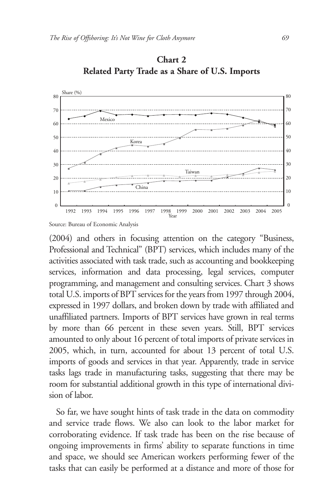

**Chart 2 Related Party Trade as a Share of U.S. Imports**

(2004) and others in focusing attention on the category "Business, Professional and Technical" (BPT) services, which includes many of the activities associated with task trade, such as accounting and bookkeeping services, information and data processing, legal services, computer programming, and management and consulting services. Chart 3 shows total U.S. imports of BPT services for the years from 1997 through 2004, expressed in 1997 dollars, and broken down by trade with affiliated and unaffiliated partners. Imports of BPT services have grown in real terms by more than 66 percent in these seven years. Still, BPT services amounted to only about 16 percent of total imports of private services in 2005, which, in turn, accounted for about 13 percent of total U.S. imports of goods and services in that year. Apparently, trade in service tasks lags trade in manufacturing tasks, suggesting that there may be room for substantial additional growth in this type of international division of labor.

So far, we have sought hints of task trade in the data on commodity and service trade flows. We also can look to the labor market for corroborating evidence. If task trade has been on the rise because of ongoing improvements in firms' ability to separate functions in time and space, we should see American workers performing fewer of the tasks that can easily be performed at a distance and more of those for

Source: Bureau of Economic Analysis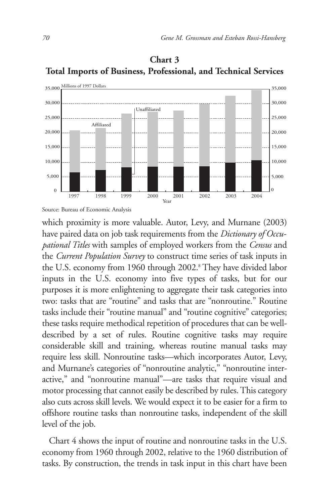

# **Chart 3 Total Imports of Business, Professional, and Technical Services**

Source: Bureau of Economic Analysis

which proximity is more valuable. Autor, Levy, and Murnane (2003) have paired data on job task requirements from the *Dictionary of Occupational Titles* with samples of employed workers from the *Census* and the *Current Population Survey* to construct time series of task inputs in the U.S. economy from 1960 through 2002.<sup>8</sup> They have divided labor inputs in the U.S. economy into five types of tasks, but for our purposes it is more enlightening to aggregate their task categories into two: tasks that are "routine" and tasks that are "nonroutine." Routine tasks include their "routine manual" and "routine cognitive" categories; these tasks require methodical repetition of procedures that can be welldescribed by a set of rules. Routine cognitive tasks may require considerable skill and training, whereas routine manual tasks may require less skill. Nonroutine tasks—which incorporates Autor, Levy, and Murnane's categories of "nonroutine analytic," "nonroutine interactive," and "nonroutine manual"—are tasks that require visual and motor processing that cannot easily be described by rules. This category also cuts across skill levels. We would expect it to be easier for a firm to offshore routine tasks than nonroutine tasks, independent of the skill level of the job.

Chart 4 shows the input of routine and nonroutine tasks in the U.S. economy from 1960 through 2002, relative to the 1960 distribution of tasks. By construction, the trends in task input in this chart have been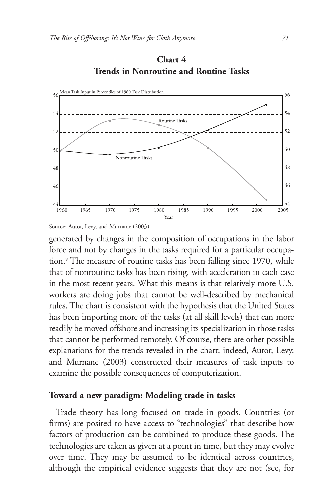

**Chart 4 Trends in Nonroutine and Routine Tasks**

Source: Autor, Levy, and Murnane (2003)

generated by changes in the composition of occupations in the labor force and not by changes in the tasks required for a particular occupation.<sup>9</sup> The measure of routine tasks has been falling since 1970, while that of nonroutine tasks has been rising, with acceleration in each case in the most recent years. What this means is that relatively more U.S. workers are doing jobs that cannot be well-described by mechanical rules. The chart is consistent with the hypothesis that the United States has been importing more of the tasks (at all skill levels) that can more readily be moved offshore and increasing its specialization in those tasks that cannot be performed remotely. Of course, there are other possible explanations for the trends revealed in the chart; indeed, Autor, Levy, and Murnane (2003) constructed their measures of task inputs to examine the possible consequences of computerization.

#### **Toward a new paradigm: Modeling trade in tasks**

Trade theory has long focused on trade in goods. Countries (or firms) are posited to have access to "technologies" that describe how factors of production can be combined to produce these goods. The technologies are taken as given at a point in time, but they may evolve over time. They may be assumed to be identical across countries, although the empirical evidence suggests that they are not (see, for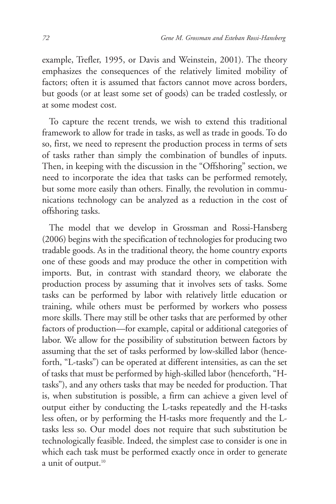example, Trefler, 1995, or Davis and Weinstein, 2001). The theory emphasizes the consequences of the relatively limited mobility of factors; often it is assumed that factors cannot move across borders, but goods (or at least some set of goods) can be traded costlessly, or at some modest cost.

To capture the recent trends, we wish to extend this traditional framework to allow for trade in tasks, as well as trade in goods. To do so, first, we need to represent the production process in terms of sets of tasks rather than simply the combination of bundles of inputs. Then, in keeping with the discussion in the "Offshoring" section, we need to incorporate the idea that tasks can be performed remotely, but some more easily than others. Finally, the revolution in communications technology can be analyzed as a reduction in the cost of offshoring tasks.

The model that we develop in Grossman and Rossi-Hansberg (2006) begins with the specification of technologies for producing two tradable goods. As in the traditional theory, the home country exports one of these goods and may produce the other in competition with imports. But, in contrast with standard theory, we elaborate the production process by assuming that it involves sets of tasks. Some tasks can be performed by labor with relatively little education or training, while others must be performed by workers who possess more skills. There may still be other tasks that are performed by other factors of production—for example, capital or additional categories of labor. We allow for the possibility of substitution between factors by assuming that the set of tasks performed by low-skilled labor (henceforth, "L-tasks") can be operated at different intensities, as can the set of tasks that must be performed by high-skilled labor (henceforth, "Htasks"), and any others tasks that may be needed for production. That is, when substitution is possible, a firm can achieve a given level of output either by conducting the L-tasks repeatedly and the H-tasks less often, or by performing the H-tasks more frequently and the Ltasks less so. Our model does not require that such substitution be technologically feasible. Indeed, the simplest case to consider is one in which each task must be performed exactly once in order to generate a unit of output.<sup>10</sup>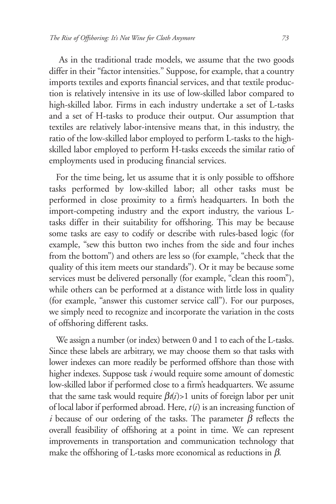As in the traditional trade models, we assume that the two goods differ in their "factor intensities." Suppose, for example, that a country imports textiles and exports financial services, and that textile production is relatively intensive in its use of low-skilled labor compared to high-skilled labor. Firms in each industry undertake a set of L-tasks and a set of H-tasks to produce their output. Our assumption that textiles are relatively labor-intensive means that, in this industry, the ratio of the low-skilled labor employed to perform L-tasks to the highskilled labor employed to perform H-tasks exceeds the similar ratio of employments used in producing financial services.

For the time being, let us assume that it is only possible to offshore tasks performed by low-skilled labor; all other tasks must be performed in close proximity to a firm's headquarters. In both the import-competing industry and the export industry, the various Ltasks differ in their suitability for offshoring. This may be because some tasks are easy to codify or describe with rules-based logic (for example, "sew this button two inches from the side and four inches from the bottom") and others are less so (for example, "check that the quality of this item meets our standards"). Or it may be because some services must be delivered personally (for example, "clean this room"), while others can be performed at a distance with little loss in quality (for example, "answer this customer service call"). For our purposes, we simply need to recognize and incorporate the variation in the costs of offshoring different tasks.

We assign a number (or index) between 0 and 1 to each of the L-tasks. Since these labels are arbitrary, we may choose them so that tasks with lower indexes can more readily be performed offshore than those with higher indexes. Suppose task *i* would require some amount of domestic low-skilled labor if performed close to a firm's headquarters. We assume that the same task would require  $\beta t(i) > 1$  units of foreign labor per unit of local labor if performed abroad. Here, *t*(*i*) is an increasing function of *i* because of our ordering of the tasks. The parameter  $\beta$  reflects the overall feasibility of offshoring at a point in time. We can represent improvements in transportation and communication technology that make the offshoring of L-tasks more economical as reductions in  $\beta$ .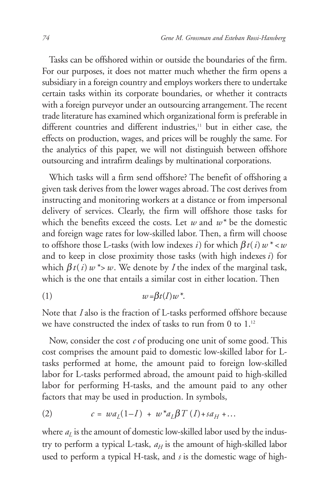Tasks can be offshored within or outside the boundaries of the firm. For our purposes, it does not matter much whether the firm opens a subsidiary in a foreign country and employs workers there to undertake certain tasks within its corporate boundaries, or whether it contracts with a foreign purveyor under an outsourcing arrangement. The recent trade literature has examined which organizational form is preferable in different countries and different industries,<sup>11</sup> but in either case, the effects on production, wages, and prices will be roughly the same. For the analytics of this paper, we will not distinguish between offshore outsourcing and intrafirm dealings by multinational corporations.

Which tasks will a firm send offshore? The benefit of offshoring a given task derives from the lower wages abroad. The cost derives from instructing and monitoring workers at a distance or from impersonal delivery of services. Clearly, the firm will offshore those tasks for which the benefits exceed the costs. Let *w* and *w\** be the domestic and foreign wage rates for low-skilled labor. Then, a firm will choose to offshore those L-tasks (with low indexes *i*) for which  $\beta t(i) w^* < w$ and to keep in close proximity those tasks (with high indexes *i*) for which  $\beta t(i)$   $w^*$   $\gg$   $w$ . We denote by *I* the index of the marginal task, which is the one that entails a similar cost in either location. Then

$$
(1) \t\t\t w = \beta t(I)w^*.
$$

Note that *I* also is the fraction of L-tasks performed offshore because we have constructed the index of tasks to run from 0 to 1.<sup>12</sup>

Now, consider the cost *c* of producing one unit of some good. This cost comprises the amount paid to domestic low-skilled labor for Ltasks performed at home, the amount paid to foreign low-skilled labor for L-tasks performed abroad, the amount paid to high-skilled labor for performing H-tasks, and the amount paid to any other factors that may be used in production. In symbols,

(2) 
$$
c = wa_L(1-I) + w^* a_L \beta T(I) + sa_H + ...
$$

where  $a<sub>L</sub>$  is the amount of domestic low-skilled labor used by the industry to perform a typical L-task,  $a_H$  is the amount of high-skilled labor used to perform a typical H-task, and *s* is the domestic wage of high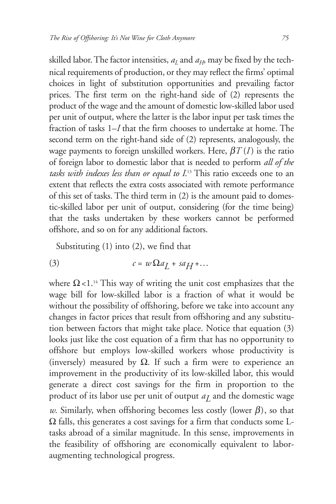skilled labor. The factor intensities,  $a<sub>L</sub>$  and  $a<sub>H</sub>$ , may be fixed by the technical requirements of production, or they may reflect the firms' optimal choices in light of substitution opportunities and prevailing factor prices. The first term on the right-hand side of (2) represents the product of the wage and the amount of domestic low-skilled labor used per unit of output, where the latter is the labor input per task times the fraction of tasks 1–*I* that the firm chooses to undertake at home. The second term on the right-hand side of (2) represents, analogously, the wage payments to foreign unskilled workers. Here,  $\beta T(I)$  is the ratio of foreign labor to domestic labor that is needed to perform *all of the tasks with indexes less than or equal to I*. <sup>13</sup> This ratio exceeds one to an extent that reflects the extra costs associated with remote performance of this set of tasks. The third term in (2) is the amount paid to domestic-skilled labor per unit of output, considering (for the time being) that the tasks undertaken by these workers cannot be performed offshore, and so on for any additional factors.

Substituting (1) into (2), we find that

$$
(3) \t c = w\Omega a_L + s a_H + \dots
$$

where  $\Omega$ <1.<sup>14</sup> This way of writing the unit cost emphasizes that the wage bill for low-skilled labor is a fraction of what it would be without the possibility of offshoring, before we take into account any changes in factor prices that result from offshoring and any substitution between factors that might take place. Notice that equation (3) looks just like the cost equation of a firm that has no opportunity to offshore but employs low-skilled workers whose productivity is (inversely) measured by  $\Omega$ . If such a firm were to experience an improvement in the productivity of its low-skilled labor, this would generate a direct cost savings for the firm in proportion to the product of its labor use per unit of output  $a<sub>I</sub>$  and the domestic wage *w*. Similarly, when offshoring becomes less costly (lower  $\beta$ ), so that  $\Omega$  falls, this generates a cost savings for a firm that conducts some Ltasks abroad of a similar magnitude. In this sense, improvements in the feasibility of offshoring are economically equivalent to laboraugmenting technological progress.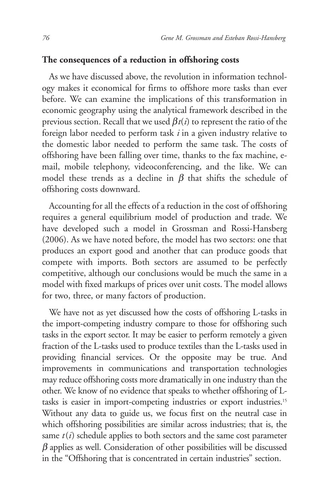# **The consequences of a reduction in offshoring costs**

As we have discussed above, the revolution in information technology makes it economical for firms to offshore more tasks than ever before. We can examine the implications of this transformation in economic geography using the analytical framework described in the previous section. Recall that we used  $\beta t(i)$  to represent the ratio of the foreign labor needed to perform task *i* in a given industry relative to the domestic labor needed to perform the same task. The costs of offshoring have been falling over time, thanks to the fax machine, email, mobile telephony, videoconferencing, and the like. We can model these trends as a decline in  $\beta$  that shifts the schedule of offshoring costs downward.

Accounting for all the effects of a reduction in the cost of offshoring requires a general equilibrium model of production and trade. We have developed such a model in Grossman and Rossi-Hansberg (2006). As we have noted before, the model has two sectors: one that produces an export good and another that can produce goods that compete with imports. Both sectors are assumed to be perfectly competitive, although our conclusions would be much the same in a model with fixed markups of prices over unit costs. The model allows for two, three, or many factors of production.

We have not as yet discussed how the costs of offshoring L-tasks in the import-competing industry compare to those for offshoring such tasks in the export sector. It may be easier to perform remotely a given fraction of the L-tasks used to produce textiles than the L-tasks used in providing financial services. Or the opposite may be true. And improvements in communications and transportation technologies may reduce offshoring costs more dramatically in one industry than the other. We know of no evidence that speaks to whether offshoring of Ltasks is easier in import-competing industries or export industries.15 Without any data to guide us, we focus first on the neutral case in which offshoring possibilities are similar across industries; that is, the same  $t(i)$  schedule applies to both sectors and the same cost parameter  $\beta$  applies as well. Consideration of other possibilities will be discussed in the "Offshoring that is concentrated in certain industries" section.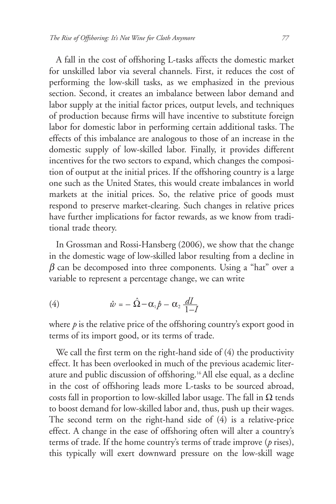A fall in the cost of offshoring L-tasks affects the domestic market for unskilled labor via several channels. First, it reduces the cost of performing the low-skill tasks, as we emphasized in the previous section. Second, it creates an imbalance between labor demand and labor supply at the initial factor prices, output levels, and techniques of production because firms will have incentive to substitute foreign labor for domestic labor in performing certain additional tasks. The effects of this imbalance are analogous to those of an increase in the domestic supply of low-skilled labor. Finally, it provides different incentives for the two sectors to expand, which changes the composition of output at the initial prices. If the offshoring country is a large one such as the United States, this would create imbalances in world markets at the initial prices. So, the relative price of goods must respond to preserve market-clearing. Such changes in relative prices have further implications for factor rewards, as we know from traditional trade theory.

In Grossman and Rossi-Hansberg (2006), we show that the change in the domestic wage of low-skilled labor resulting from a decline in  $\beta$  can be decomposed into three components. Using a "hat" over a variable to represent a percentage change, we can write

(4) 
$$
\hat{w} = -\hat{\Omega} - \alpha_1 \hat{p} - \alpha_2 \frac{dI}{1-I}
$$

where *p* is the relative price of the offshoring country's export good in terms of its import good, or its terms of trade.

We call the first term on the right-hand side of (4) the productivity effect. It has been overlooked in much of the previous academic literature and public discussion of offshoring.16 All else equal, as a decline in the cost of offshoring leads more L-tasks to be sourced abroad, costs fall in proportion to low-skilled labor usage. The fall in  $\Omega$  tends to boost demand for low-skilled labor and, thus, push up their wages. The second term on the right-hand side of (4) is a relative-price effect. A change in the ease of offshoring often will alter a country's terms of trade. If the home country's terms of trade improve (*p* rises), this typically will exert downward pressure on the low-skill wage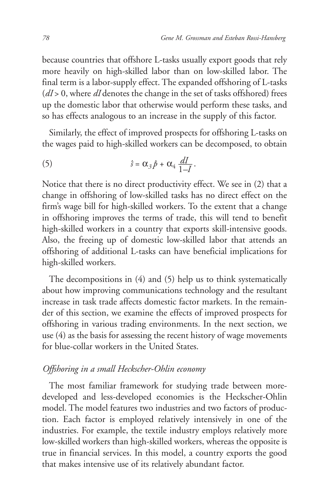because countries that offshore L-tasks usually export goods that rely more heavily on high-skilled labor than on low-skilled labor. The final term is a labor-supply effect. The expanded offshoring of L-tasks (*dI* > 0, where *dI* denotes the change in the set of tasks offshored) frees up the domestic labor that otherwise would perform these tasks, and so has effects analogous to an increase in the supply of this factor.

Similarly, the effect of improved prospects for offshoring L-tasks on the wages paid to high-skilled workers can be decomposed, to obtain

(5) 
$$
\hat{s} = \alpha_3 \hat{p} + \alpha_4 \frac{dI}{1-I}.
$$

Notice that there is no direct productivity effect. We see in (2) that a change in offshoring of low-skilled tasks has no direct effect on the firm's wage bill for high-skilled workers. To the extent that a change in offshoring improves the terms of trade, this will tend to benefit high-skilled workers in a country that exports skill-intensive goods. Also, the freeing up of domestic low-skilled labor that attends an offshoring of additional L-tasks can have beneficial implications for high-skilled workers.

The decompositions in (4) and (5) help us to think systematically about how improving communications technology and the resultant increase in task trade affects domestic factor markets. In the remainder of this section, we examine the effects of improved prospects for offshoring in various trading environments. In the next section, we use (4) as the basis for assessing the recent history of wage movements for blue-collar workers in the United States.

# *Offshoring in a small Heckscher-Ohlin economy*

The most familiar framework for studying trade between moredeveloped and less-developed economies is the Heckscher-Ohlin model. The model features two industries and two factors of production. Each factor is employed relatively intensively in one of the industries. For example, the textile industry employs relatively more low-skilled workers than high-skilled workers, whereas the opposite is true in financial services. In this model, a country exports the good that makes intensive use of its relatively abundant factor.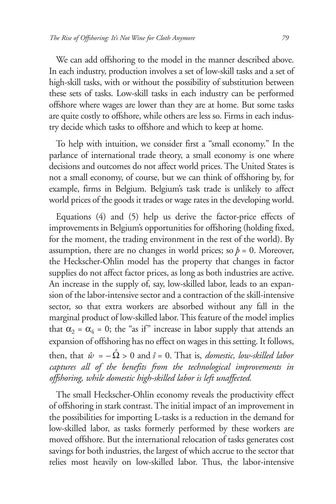We can add offshoring to the model in the manner described above. In each industry, production involves a set of low-skill tasks and a set of high-skill tasks, with or without the possibility of substitution between these sets of tasks. Low-skill tasks in each industry can be performed offshore where wages are lower than they are at home. But some tasks are quite costly to offshore, while others are less so. Firms in each industry decide which tasks to offshore and which to keep at home.

To help with intuition, we consider first a "small economy." In the parlance of international trade theory, a small economy is one where decisions and outcomes do not affect world prices. The United States is not a small economy, of course, but we can think of offshoring by, for example, firms in Belgium. Belgium's task trade is unlikely to affect world prices of the goods it trades or wage rates in the developing world.

Equations (4) and (5) help us derive the factor-price effects of improvements in Belgium's opportunities for offshoring (holding fixed, for the moment, the trading environment in the rest of the world). By assumption, there are no changes in world prices; so  $\hat{p} = 0$ . Moreover, the Heckscher-Ohlin model has the property that changes in factor supplies do not affect factor prices, as long as both industries are active. An increase in the supply of, say, low-skilled labor, leads to an expansion of the labor-intensive sector and a contraction of the skill-intensive sector, so that extra workers are absorbed without any fall in the marginal product of low-skilled labor. This feature of the model implies that  $\alpha_2 = \alpha_4 = 0$ ; the "as if" increase in labor supply that attends an expansion of offshoring has no effect on wages in this setting. It follows, then, that  $\hat{w} = -\hat{\Omega} > 0$  and  $\hat{s} = 0$ . That is, *domestic, low-skilled labor captures all of the benefits from the technological improvements in*

*offshoring, while domestic high-skilled labor is left unaffected.* 

The small Heckscher-Ohlin economy reveals the productivity effect of offshoring in stark contrast. The initial impact of an improvement in the possibilities for importing L-tasks is a reduction in the demand for low-skilled labor, as tasks formerly performed by these workers are moved offshore. But the international relocation of tasks generates cost savings for both industries, the largest of which accrue to the sector that relies most heavily on low-skilled labor. Thus, the labor-intensive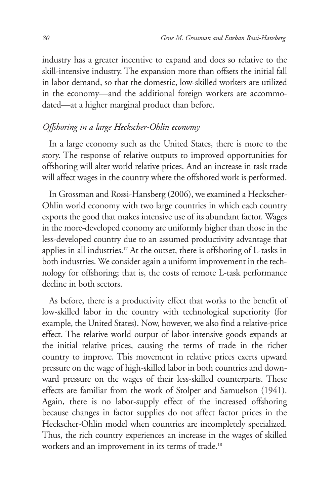industry has a greater incentive to expand and does so relative to the skill-intensive industry. The expansion more than offsets the initial fall in labor demand, so that the domestic, low-skilled workers are utilized in the economy—and the additional foreign workers are accommodated—at a higher marginal product than before.

# *Offshoring in a large Heckscher-Ohlin economy*

In a large economy such as the United States, there is more to the story. The response of relative outputs to improved opportunities for offshoring will alter world relative prices. And an increase in task trade will affect wages in the country where the offshored work is performed.

In Grossman and Rossi-Hansberg (2006), we examined a Heckscher-Ohlin world economy with two large countries in which each country exports the good that makes intensive use of its abundant factor. Wages in the more-developed economy are uniformly higher than those in the less-developed country due to an assumed productivity advantage that applies in all industries.<sup>17</sup> At the outset, there is offshoring of L-tasks in both industries. We consider again a uniform improvement in the technology for offshoring; that is, the costs of remote L-task performance decline in both sectors.

As before, there is a productivity effect that works to the benefit of low-skilled labor in the country with technological superiority (for example, the United States). Now, however, we also find a relative-price effect. The relative world output of labor-intensive goods expands at the initial relative prices, causing the terms of trade in the richer country to improve. This movement in relative prices exerts upward pressure on the wage of high-skilled labor in both countries and downward pressure on the wages of their less-skilled counterparts. These effects are familiar from the work of Stolper and Samuelson (1941). Again, there is no labor-supply effect of the increased offshoring because changes in factor supplies do not affect factor prices in the Heckscher-Ohlin model when countries are incompletely specialized. Thus, the rich country experiences an increase in the wages of skilled workers and an improvement in its terms of trade.<sup>18</sup>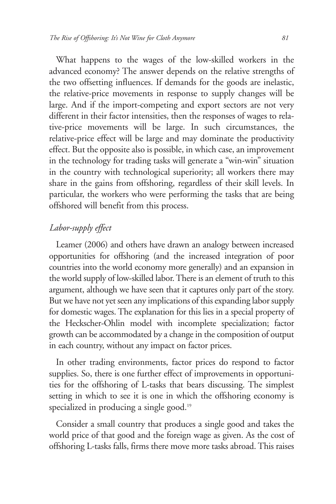What happens to the wages of the low-skilled workers in the advanced economy? The answer depends on the relative strengths of the two offsetting influences. If demands for the goods are inelastic, the relative-price movements in response to supply changes will be large. And if the import-competing and export sectors are not very different in their factor intensities, then the responses of wages to relative-price movements will be large. In such circumstances, the relative-price effect will be large and may dominate the productivity effect. But the opposite also is possible, in which case, an improvement in the technology for trading tasks will generate a "win-win" situation in the country with technological superiority; all workers there may share in the gains from offshoring, regardless of their skill levels. In particular, the workers who were performing the tasks that are being offshored will benefit from this process.

# *Labor-supply effect*

Leamer (2006) and others have drawn an analogy between increased opportunities for offshoring (and the increased integration of poor countries into the world economy more generally) and an expansion in the world supply of low-skilled labor. There is an element of truth to this argument, although we have seen that it captures only part of the story. But we have not yet seen any implications of this expanding labor supply for domestic wages. The explanation for this lies in a special property of the Heckscher-Ohlin model with incomplete specialization; factor growth can be accommodated by a change in the composition of output in each country, without any impact on factor prices.

In other trading environments, factor prices do respond to factor supplies. So, there is one further effect of improvements in opportunities for the offshoring of L-tasks that bears discussing. The simplest setting in which to see it is one in which the offshoring economy is specialized in producing a single good.<sup>19</sup>

Consider a small country that produces a single good and takes the world price of that good and the foreign wage as given. As the cost of offshoring L-tasks falls, firms there move more tasks abroad. This raises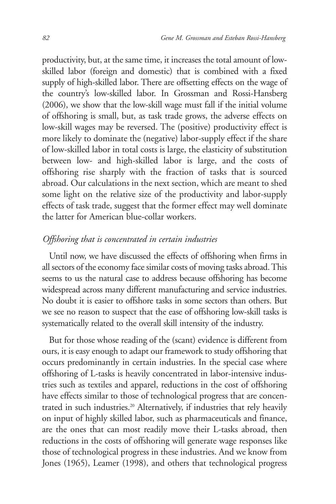productivity, but, at the same time, it increases the total amount of lowskilled labor (foreign and domestic) that is combined with a fixed supply of high-skilled labor. There are offsetting effects on the wage of the country's low-skilled labor. In Grossman and Rossi-Hansberg (2006), we show that the low-skill wage must fall if the initial volume of offshoring is small, but, as task trade grows, the adverse effects on low-skill wages may be reversed. The (positive) productivity effect is more likely to dominate the (negative) labor-supply effect if the share of low-skilled labor in total costs is large, the elasticity of substitution between low- and high-skilled labor is large, and the costs of offshoring rise sharply with the fraction of tasks that is sourced abroad. Our calculations in the next section, which are meant to shed some light on the relative size of the productivity and labor-supply effects of task trade, suggest that the former effect may well dominate the latter for American blue-collar workers.

# *Offshoring that is concentrated in certain industries*

Until now, we have discussed the effects of offshoring when firms in all sectors of the economy face similar costs of moving tasks abroad. This seems to us the natural case to address because offshoring has become widespread across many different manufacturing and service industries. No doubt it is easier to offshore tasks in some sectors than others. But we see no reason to suspect that the ease of offshoring low-skill tasks is systematically related to the overall skill intensity of the industry.

But for those whose reading of the (scant) evidence is different from ours, it is easy enough to adapt our framework to study offshoring that occurs predominantly in certain industries. In the special case where offshoring of L-tasks is heavily concentrated in labor-intensive industries such as textiles and apparel, reductions in the cost of offshoring have effects similar to those of technological progress that are concentrated in such industries.<sup>20</sup> Alternatively, if industries that rely heavily on input of highly skilled labor, such as pharmaceuticals and finance, are the ones that can most readily move their L-tasks abroad, then reductions in the costs of offshoring will generate wage responses like those of technological progress in these industries. And we know from Jones (1965), Leamer (1998), and others that technological progress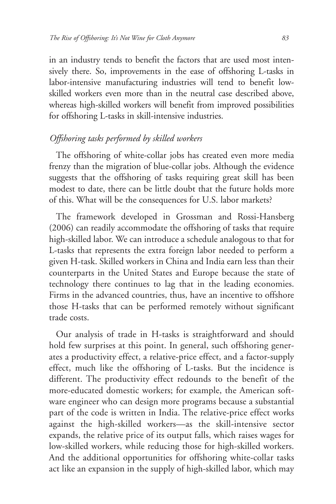in an industry tends to benefit the factors that are used most intensively there. So, improvements in the ease of offshoring L-tasks in labor-intensive manufacturing industries will tend to benefit lowskilled workers even more than in the neutral case described above, whereas high-skilled workers will benefit from improved possibilities for offshoring L-tasks in skill-intensive industries.

# *Offshoring tasks performed by skilled workers*

The offshoring of white-collar jobs has created even more media frenzy than the migration of blue-collar jobs. Although the evidence suggests that the offshoring of tasks requiring great skill has been modest to date, there can be little doubt that the future holds more of this. What will be the consequences for U.S. labor markets?

The framework developed in Grossman and Rossi-Hansberg (2006) can readily accommodate the offshoring of tasks that require high-skilled labor. We can introduce a schedule analogous to that for L-tasks that represents the extra foreign labor needed to perform a given H-task. Skilled workers in China and India earn less than their counterparts in the United States and Europe because the state of technology there continues to lag that in the leading economies. Firms in the advanced countries, thus, have an incentive to offshore those H-tasks that can be performed remotely without significant trade costs.

Our analysis of trade in H-tasks is straightforward and should hold few surprises at this point. In general, such offshoring generates a productivity effect, a relative-price effect, and a factor-supply effect, much like the offshoring of L-tasks. But the incidence is different. The productivity effect redounds to the benefit of the more-educated domestic workers; for example, the American software engineer who can design more programs because a substantial part of the code is written in India. The relative-price effect works against the high-skilled workers—as the skill-intensive sector expands, the relative price of its output falls, which raises wages for low-skilled workers, while reducing those for high-skilled workers. And the additional opportunities for offshoring white-collar tasks act like an expansion in the supply of high-skilled labor, which may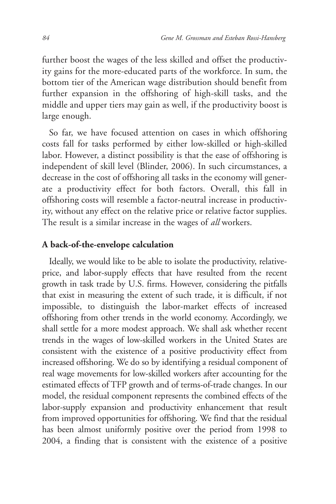further boost the wages of the less skilled and offset the productivity gains for the more-educated parts of the workforce. In sum, the bottom tier of the American wage distribution should benefit from further expansion in the offshoring of high-skill tasks, and the middle and upper tiers may gain as well, if the productivity boost is large enough.

So far, we have focused attention on cases in which offshoring costs fall for tasks performed by either low-skilled or high-skilled labor. However, a distinct possibility is that the ease of offshoring is independent of skill level (Blinder, 2006). In such circumstances, a decrease in the cost of offshoring all tasks in the economy will generate a productivity effect for both factors. Overall, this fall in offshoring costs will resemble a factor-neutral increase in productivity, without any effect on the relative price or relative factor supplies. The result is a similar increase in the wages of *all* workers.

#### **A back-of-the-envelope calculation**

Ideally, we would like to be able to isolate the productivity, relativeprice, and labor-supply effects that have resulted from the recent growth in task trade by U.S. firms. However, considering the pitfalls that exist in measuring the extent of such trade, it is difficult, if not impossible, to distinguish the labor-market effects of increased offshoring from other trends in the world economy. Accordingly, we shall settle for a more modest approach. We shall ask whether recent trends in the wages of low-skilled workers in the United States are consistent with the existence of a positive productivity effect from increased offshoring. We do so by identifying a residual component of real wage movements for low-skilled workers after accounting for the estimated effects of TFP growth and of terms-of-trade changes. In our model, the residual component represents the combined effects of the labor-supply expansion and productivity enhancement that result from improved opportunities for offshoring. We find that the residual has been almost uniformly positive over the period from 1998 to 2004, a finding that is consistent with the existence of a positive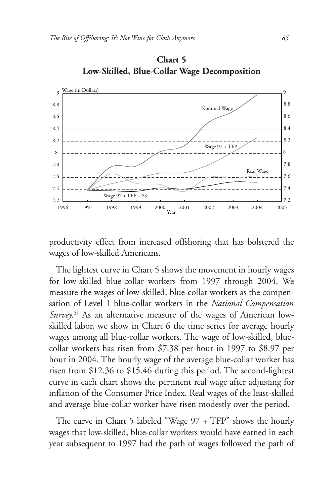

**Chart 5 Low-Skilled, Blue-Collar Wage Decomposition**

productivity effect from increased offshoring that has bolstered the wages of low-skilled Americans.

The lightest curve in Chart 5 shows the movement in hourly wages for low-skilled blue-collar workers from 1997 through 2004. We measure the wages of low-skilled, blue-collar workers as the compensation of Level 1 blue-collar workers in the *National Compensation Survey*. <sup>21</sup> As an alternative measure of the wages of American lowskilled labor, we show in Chart 6 the time series for average hourly wages among all blue-collar workers. The wage of low-skilled, bluecollar workers has risen from \$7.38 per hour in 1997 to \$8.97 per hour in 2004. The hourly wage of the average blue-collar worker has risen from \$12.36 to \$15.46 during this period. The second-lightest curve in each chart shows the pertinent real wage after adjusting for inflation of the Consumer Price Index. Real wages of the least-skilled and average blue-collar worker have risen modestly over the period.

The curve in Chart 5 labeled "Wage 97 + TFP" shows the hourly wages that low-skilled, blue-collar workers would have earned in each year subsequent to 1997 had the path of wages followed the path of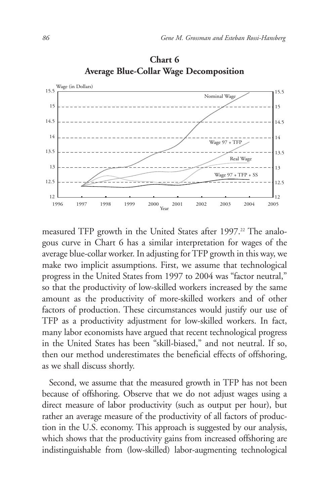

**Chart 6 Average Blue-Collar Wage Decomposition**

measured TFP growth in the United States after 1997.<sup>22</sup> The analogous curve in Chart 6 has a similar interpretation for wages of the average blue-collar worker. In adjusting for TFP growth in this way, we make two implicit assumptions. First, we assume that technological progress in the United States from 1997 to 2004 was "factor neutral," so that the productivity of low-skilled workers increased by the same amount as the productivity of more-skilled workers and of other factors of production. These circumstances would justify our use of TFP as a productivity adjustment for low-skilled workers. In fact, many labor economists have argued that recent technological progress in the United States has been "skill-biased," and not neutral. If so, then our method underestimates the beneficial effects of offshoring, as we shall discuss shortly.

Second, we assume that the measured growth in TFP has not been because of offshoring. Observe that we do not adjust wages using a direct measure of labor productivity (such as output per hour), but rather an average measure of the productivity of all factors of production in the U.S. economy. This approach is suggested by our analysis, which shows that the productivity gains from increased offshoring are indistinguishable from (low-skilled) labor-augmenting technological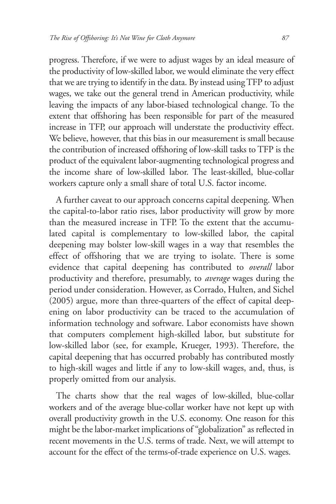progress. Therefore, if we were to adjust wages by an ideal measure of the productivity of low-skilled labor, we would eliminate the very effect that we are trying to identify in the data. By instead using TFP to adjust wages, we take out the general trend in American productivity, while leaving the impacts of any labor-biased technological change. To the extent that offshoring has been responsible for part of the measured increase in TFP, our approach will understate the productivity effect. We believe, however, that this bias in our measurement is small because the contribution of increased offshoring of low-skill tasks to TFP is the product of the equivalent labor-augmenting technological progress and the income share of low-skilled labor. The least-skilled, blue-collar workers capture only a small share of total U.S. factor income.

A further caveat to our approach concerns capital deepening. When the capital-to-labor ratio rises, labor productivity will grow by more than the measured increase in TFP. To the extent that the accumulated capital is complementary to low-skilled labor, the capital deepening may bolster low-skill wages in a way that resembles the effect of offshoring that we are trying to isolate. There is some evidence that capital deepening has contributed to *overall* labor productivity and therefore, presumably, to *average* wages during the period under consideration. However, as Corrado, Hulten, and Sichel (2005) argue, more than three-quarters of the effect of capital deepening on labor productivity can be traced to the accumulation of information technology and software. Labor economists have shown that computers complement high-skilled labor, but substitute for low-skilled labor (see, for example, Krueger, 1993). Therefore, the capital deepening that has occurred probably has contributed mostly to high-skill wages and little if any to low-skill wages, and, thus, is properly omitted from our analysis.

The charts show that the real wages of low-skilled, blue-collar workers and of the average blue-collar worker have not kept up with overall productivity growth in the U.S. economy. One reason for this might be the labor-market implications of "globalization" as reflected in recent movements in the U.S. terms of trade. Next, we will attempt to account for the effect of the terms-of-trade experience on U.S. wages.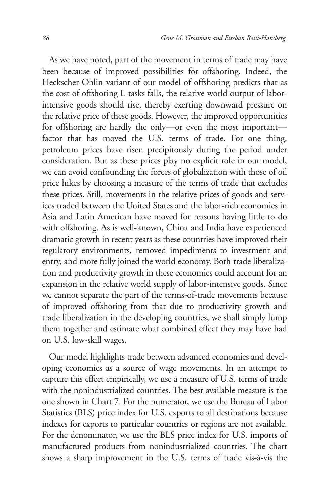As we have noted, part of the movement in terms of trade may have been because of improved possibilities for offshoring. Indeed, the Heckscher-Ohlin variant of our model of offshoring predicts that as the cost of offshoring L-tasks falls, the relative world output of laborintensive goods should rise, thereby exerting downward pressure on the relative price of these goods. However, the improved opportunities for offshoring are hardly the only—or even the most important factor that has moved the U.S. terms of trade. For one thing, petroleum prices have risen precipitously during the period under consideration. But as these prices play no explicit role in our model, we can avoid confounding the forces of globalization with those of oil price hikes by choosing a measure of the terms of trade that excludes these prices. Still, movements in the relative prices of goods and services traded between the United States and the labor-rich economies in Asia and Latin American have moved for reasons having little to do with offshoring. As is well-known, China and India have experienced dramatic growth in recent years as these countries have improved their regulatory environments, removed impediments to investment and entry, and more fully joined the world economy. Both trade liberalization and productivity growth in these economies could account for an expansion in the relative world supply of labor-intensive goods. Since we cannot separate the part of the terms-of-trade movements because of improved offshoring from that due to productivity growth and trade liberalization in the developing countries, we shall simply lump them together and estimate what combined effect they may have had on U.S. low-skill wages.

Our model highlights trade between advanced economies and developing economies as a source of wage movements. In an attempt to capture this effect empirically, we use a measure of U.S. terms of trade with the nonindustrialized countries. The best available measure is the one shown in Chart 7. For the numerator, we use the Bureau of Labor Statistics (BLS) price index for U.S. exports to all destinations because indexes for exports to particular countries or regions are not available. For the denominator, we use the BLS price index for U.S. imports of manufactured products from nonindustrialized countries. The chart shows a sharp improvement in the U.S. terms of trade vis-à-vis the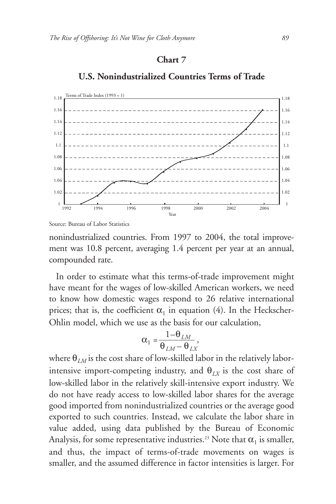#### **Chart 7**



# **U.S. Nonindustrialized Countries Terms of Trade**

nonindustrialized countries. From 1997 to 2004, the total improvement was 10.8 percent, averaging 1.4 percent per year at an annual, compounded rate.

In order to estimate what this terms-of-trade improvement might have meant for the wages of low-skilled American workers, we need to know how domestic wages respond to 26 relative international prices; that is, the coefficient  $\alpha_1$  in equation (4). In the Heckscher-Ohlin model, which we use as the basis for our calculation,

$$
\alpha_1 = \frac{1 - \theta_{LM}}{\theta_{LM} - \theta_{LN}},
$$

where  $\theta_{LM}$  is the cost share of low-skilled labor in the relatively laborintensive import-competing industry, and  $\theta_{LX}$  is the cost share of low-skilled labor in the relatively skill-intensive export industry. We do not have ready access to low-skilled labor shares for the average good imported from nonindustrialized countries or the average good exported to such countries. Instead, we calculate the labor share in value added, using data published by the Bureau of Economic Analysis, for some representative industries.<sup>23</sup> Note that  $\alpha_1$  is smaller, and thus, the impact of terms-of-trade movements on wages is smaller, and the assumed difference in factor intensities is larger. For

Source: Bureau of Labor Statistics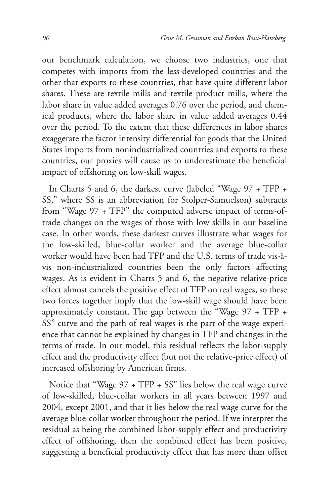our benchmark calculation, we choose two industries, one that competes with imports from the less-developed countries and the other that exports to these countries, that have quite different labor shares. These are textile mills and textile product mills, where the labor share in value added averages 0.76 over the period, and chemical products, where the labor share in value added averages 0.44 over the period. To the extent that these differences in labor shares exaggerate the factor intensity differential for goods that the United States imports from nonindustrialized countries and exports to these countries, our proxies will cause us to underestimate the beneficial impact of offshoring on low-skill wages.

In Charts 5 and 6, the darkest curve (labeled "Wage 97 + TFP + SS," where SS is an abbreviation for Stolper-Samuelson) subtracts from "Wage 97 + TFP" the computed adverse impact of terms-oftrade changes on the wages of those with low skills in our baseline case. In other words, these darkest curves illustrate what wages for the low-skilled, blue-collar worker and the average blue-collar worker would have been had TFP and the U.S. terms of trade vis-àvis non-industrialized countries been the only factors affecting wages. As is evident in Charts 5 and 6, the negative relative-price effect almost cancels the positive effect of TFP on real wages, so these two forces together imply that the low-skill wage should have been approximately constant. The gap between the "Wage 97 + TFP + SS" curve and the path of real wages is the part of the wage experience that cannot be explained by changes in TFP and changes in the terms of trade. In our model, this residual reflects the labor-supply effect and the productivity effect (but not the relative-price effect) of increased offshoring by American firms.

Notice that "Wage 97 + TFP + SS" lies below the real wage curve of low-skilled, blue-collar workers in all years between 1997 and 2004, except 2001, and that it lies below the real wage curve for the average blue-collar worker throughout the period. If we interpret the residual as being the combined labor-supply effect and productivity effect of offshoring, then the combined effect has been positive, suggesting a beneficial productivity effect that has more than offset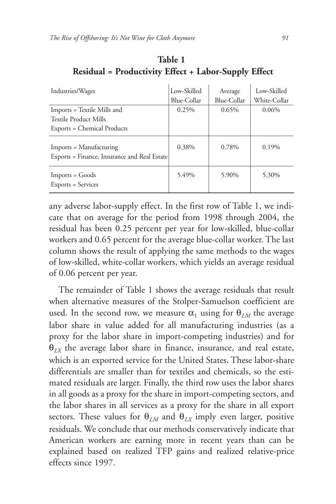| Industries/Wages                                                                    | Low-Skilled<br>Blue-Collar | Average<br>Blue-Collar | Low-Skilled<br>White-Collar |
|-------------------------------------------------------------------------------------|----------------------------|------------------------|-----------------------------|
| Imports = Textile Mills and<br>Textile Product Mills<br>Exports = Chemical Products | 0.25%                      | 0.65%                  | 0.06%                       |
| Imports = Manufacturing<br>Exports = Finance, Insurance and Real Estate             | 0.38%                      | 0.78%                  | 0.19%                       |
| $Imports = Goods$<br>Exports = Services                                             | 5.49%                      | 5.90%                  | 5.30%                       |

**Table 1 Residual = Productivity Effect + Labor-Supply Effect**

any adverse labor-supply effect. In the first row of Table 1, we indicate that on average for the period from 1998 through 2004, the residual has been 0.25 percent per year for low-skilled, blue-collar workers and 0.65 percent for the average blue-collar worker. The last column shows the result of applying the same methods to the wages of low-skilled, white-collar workers, which yields an average residual of 0.06 percent per year.

The remainder of Table 1 shows the average residuals that result when alternative measures of the Stolper-Samuelson coefficient are used. In the second row, we measure  $\alpha_1$  using for  $\theta_{LM}$  the average labor share in value added for all manufacturing industries (as a proxy for the labor share in import-competing industries) and for  $\theta_{LX}$  the average labor share in finance, insurance, and real estate, which is an exported service for the United States. These labor-share differentials are smaller than for textiles and chemicals, so the estimated residuals are larger. Finally, the third row uses the labor shares in all goods as a proxy for the share in import-competing sectors, and the labor shares in all services as a proxy for the share in all export sectors. These values for  $\theta_{LM}$  and  $\theta_{IX}$  imply even larger, positive residuals. We conclude that our methods conservatively indicate that American workers are earning more in recent years than can be explained based on realized TFP gains and realized relative-price effects since 1997.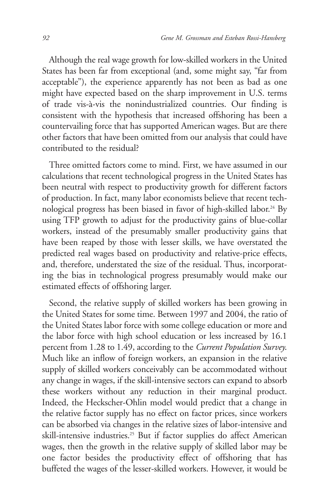Although the real wage growth for low-skilled workers in the United States has been far from exceptional (and, some might say, "far from acceptable"), the experience apparently has not been as bad as one might have expected based on the sharp improvement in U.S. terms of trade vis-à-vis the nonindustrialized countries. Our finding is consistent with the hypothesis that increased offshoring has been a countervailing force that has supported American wages. But are there other factors that have been omitted from our analysis that could have contributed to the residual?

Three omitted factors come to mind. First, we have assumed in our calculations that recent technological progress in the United States has been neutral with respect to productivity growth for different factors of production. In fact, many labor economists believe that recent technological progress has been biased in favor of high-skilled labor. <sup>24</sup> By using TFP growth to adjust for the productivity gains of blue-collar workers, instead of the presumably smaller productivity gains that have been reaped by those with lesser skills, we have overstated the predicted real wages based on productivity and relative-price effects, and, therefore, understated the size of the residual. Thus, incorporating the bias in technological progress presumably would make our estimated effects of offshoring larger.

Second, the relative supply of skilled workers has been growing in the United States for some time. Between 1997 and 2004, the ratio of the United States labor force with some college education or more and the labor force with high school education or less increased by 16.1 percent from 1.28 to 1.49, according to the *Current Population Survey*. Much like an inflow of foreign workers, an expansion in the relative supply of skilled workers conceivably can be accommodated without any change in wages, if the skill-intensive sectors can expand to absorb these workers without any reduction in their marginal product. Indeed, the Heckscher-Ohlin model would predict that a change in the relative factor supply has no effect on factor prices, since workers can be absorbed via changes in the relative sizes of labor-intensive and skill-intensive industries.<sup>25</sup> But if factor supplies do affect American wages, then the growth in the relative supply of skilled labor may be one factor besides the productivity effect of offshoring that has buffeted the wages of the lesser-skilled workers. However, it would be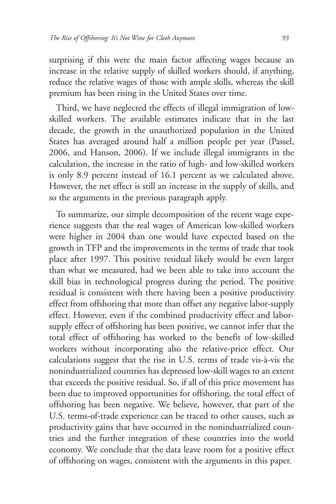surprising if this were the main factor affecting wages because an increase in the relative supply of skilled workers should, if anything, reduce the relative wages of those with ample skills, whereas the skill premium has been rising in the United States over time.

Third, we have neglected the effects of illegal immigration of lowskilled workers. The available estimates indicate that in the last decade, the growth in the unauthorized population in the United States has averaged around half a million people per year (Passel, 2006, and Hanson, 2006). If we include illegal immigrants in the calculation, the increase in the ratio of high- and low-skilled workers is only 8.9 percent instead of 16.1 percent as we calculated above. However, the net effect is still an increase in the supply of skills, and so the arguments in the previous paragraph apply.

To summarize, our simple decomposition of the recent wage experience suggests that the real wages of American low-skilled workers were higher in 2004 than one would have expected based on the growth in TFP and the improvements in the terms of trade that took place after 1997. This positive residual likely would be even larger than what we measured, had we been able to take into account the skill bias in technological progress during the period. The positive residual is consistent with there having been a positive productivity effect from offshoring that more than offset any negative labor-supply effect. However, even if the combined productivity effect and laborsupply effect of offshoring has been positive, we cannot infer that the total effect of offshoring has worked to the benefit of low-skilled workers without incorporating also the relative-price effect. Our calculations suggest that the rise in U.S. terms of trade vis-à-vis the nonindustrialized countries has depressed low-skill wages to an extent that exceeds the positive residual. So, if all of this price movement has been due to improved opportunities for offshoring, the total effect of offshoring has been negative. We believe, however, that part of the U.S. terms-of-trade experience can be traced to other causes, such as productivity gains that have occurred in the nonindustrialized countries and the further integration of these countries into the world economy. We conclude that the data leave room for a positive effect of offshoring on wages, consistent with the arguments in this paper.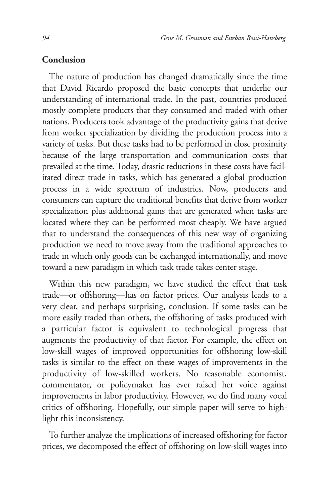#### **Conclusion**

The nature of production has changed dramatically since the time that David Ricardo proposed the basic concepts that underlie our understanding of international trade. In the past, countries produced mostly complete products that they consumed and traded with other nations. Producers took advantage of the productivity gains that derive from worker specialization by dividing the production process into a variety of tasks. But these tasks had to be performed in close proximity because of the large transportation and communication costs that prevailed at the time. Today, drastic reductions in these costs have facilitated direct trade in tasks, which has generated a global production process in a wide spectrum of industries. Now, producers and consumers can capture the traditional benefits that derive from worker specialization plus additional gains that are generated when tasks are located where they can be performed most cheaply. We have argued that to understand the consequences of this new way of organizing production we need to move away from the traditional approaches to trade in which only goods can be exchanged internationally, and move toward a new paradigm in which task trade takes center stage.

Within this new paradigm, we have studied the effect that task trade—or offshoring—has on factor prices. Our analysis leads to a very clear, and perhaps surprising, conclusion. If some tasks can be more easily traded than others, the offshoring of tasks produced with a particular factor is equivalent to technological progress that augments the productivity of that factor. For example, the effect on low-skill wages of improved opportunities for offshoring low-skill tasks is similar to the effect on these wages of improvements in the productivity of low-skilled workers. No reasonable economist, commentator, or policymaker has ever raised her voice against improvements in labor productivity. However, we do find many vocal critics of offshoring. Hopefully, our simple paper will serve to highlight this inconsistency.

To further analyze the implications of increased offshoring for factor prices, we decomposed the effect of offshoring on low-skill wages into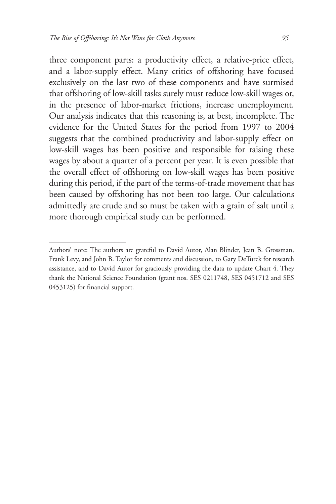three component parts: a productivity effect, a relative-price effect, and a labor-supply effect. Many critics of offshoring have focused exclusively on the last two of these components and have surmised that offshoring of low-skill tasks surely must reduce low-skill wages or, in the presence of labor-market frictions, increase unemployment. Our analysis indicates that this reasoning is, at best, incomplete. The evidence for the United States for the period from 1997 to 2004 suggests that the combined productivity and labor-supply effect on low-skill wages has been positive and responsible for raising these wages by about a quarter of a percent per year. It is even possible that the overall effect of offshoring on low-skill wages has been positive during this period, if the part of the terms-of-trade movement that has been caused by offshoring has not been too large. Our calculations admittedly are crude and so must be taken with a grain of salt until a more thorough empirical study can be performed.

Authors' note: The authors are grateful to David Autor, Alan Blinder, Jean B. Grossman, Frank Levy, and John B. Taylor for comments and discussion, to Gary DeTurck for research assistance, and to David Autor for graciously providing the data to update Chart 4. They thank the National Science Foundation (grant nos. SES 0211748, SES 0451712 and SES 0453125) for financial support.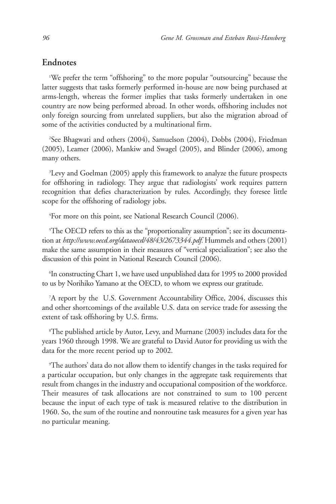#### **Endnotes**

1 We prefer the term "offshoring" to the more popular "outsourcing" because the latter suggests that tasks formerly performed in-house are now being purchased at arms-length, whereas the former implies that tasks formerly undertaken in one country are now being performed abroad. In other words, offshoring includes not only foreign sourcing from unrelated suppliers, but also the migration abroad of some of the activities conducted by a multinational firm.

2 See Bhagwati and others (2004), Samuelson (2004), Dobbs (2004), Friedman (2005), Leamer (2006), Mankiw and Swagel (2005), and Blinder (2006), among many others.

<sup>3</sup>Levy and Goelman (2005) apply this framework to analyze the future prospects for offshoring in radiology. They argue that radiologists' work requires pattern recognition that defies characterization by rules. Accordingly, they foresee little scope for the offshoring of radiology jobs.

4 For more on this point, see National Research Council (2006).

 $^{\circ}$ The OECD refers to this as the "proportionality assumption"; see its documentation at *http://www.oecd.org/dataoecd/48/43/2673344.pdf.* Hummels and others (2001) make the same assumption in their measures of "vertical specialization"; see also the discussion of this point in National Research Council (2006).

6 In constructing Chart 1, we have used unpublished data for 1995 to 2000 provided to us by Norihiko Yamano at the OECD, to whom we express our gratitude.

7 A report by the U.S. Government Accountability Office, 2004, discusses this and other shortcomings of the available U.S. data on service trade for assessing the extent of task offshoring by U.S. firms.

8 The published article by Autor, Levy, and Murnane (2003) includes data for the years 1960 through 1998. We are grateful to David Autor for providing us with the data for the more recent period up to 2002.

9 The authors' data do not allow them to identify changes in the tasks required for a particular occupation, but only changes in the aggregate task requirements that result from changes in the industry and occupational composition of the workforce. Their measures of task allocations are not constrained to sum to 100 percent because the input of each type of task is measured relative to the distribution in 1960. So, the sum of the routine and nonroutine task measures for a given year has no particular meaning.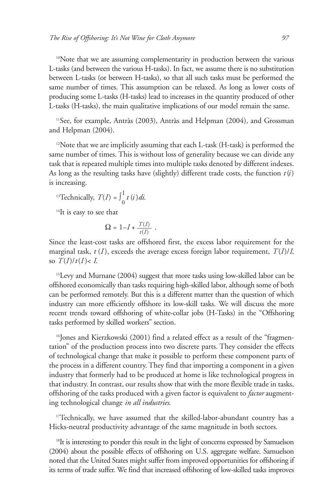10Note that we are assuming complementarity in production between the various L-tasks (and between the various H-tasks). In fact, we assume there is no substitution between L-tasks (or between H-tasks), so that all such tasks must be performed the same number of times. This assumption can be relaxed. As long as lower costs of producing some L-tasks (H-tasks) lead to increases in the quantity produced of other L-tasks (H-tasks), the main qualitative implications of our model remain the same.

11See, for example, Antràs (2003), Antràs and Helpman (2004), and Grossman and Helpman (2004).

 $12$ Note that we are implicitly assuming that each L-task (H-task) is performed the same number of times. This is without loss of generality because we can divide any task that is repeated multiple times into multiple tasks denoted by different indexes. As long as the resulting tasks have (slightly) different trade costs, the function  $t(i)$ is increasing.

<sup>13</sup>Technically, 
$$
T(I) = \int_0^I t(i) di
$$
.

<sup>14</sup>It is easy to see that

$$
\Omega = 1 - I + \frac{T(I)}{t(I)}.
$$

Since the least-cost tasks are offshored first, the excess labor requirement for the marginal task, *t* (*I* ), exceeds the average excess foreign labor requirement, *T*(*I*)/*I*, so  $T(I)/t(I) < I$ .

<sup>15</sup>Levy and Murnane (2004) suggest that more tasks using low-skilled labor can be offshored economically than tasks requiring high-skilled labor, although some of both can be performed remotely. But this is a different matter than the question of which industry can more efficiently offshore its low-skill tasks. We will discuss the more recent trends toward offshoring of white-collar jobs (H-Tasks) in the "Offshoring tasks performed by skilled workers" section.

<sup>16</sup>Jones and Kierzkowski (2001) find a related effect as a result of the "fragmentation" of the production process into two discrete parts. They consider the effects of technological change that make it possible to perform these component parts of the process in a different country. They find that importing a component in a given industry that formerly had to be produced at home is like technological progress in that industry. In contrast, our results show that with the more flexible trade in tasks, offshoring of the tasks produced with a given factor is equivalent to *factor* augmenting technological change *in all industries*.

<sup>17</sup>Technically, we have assumed that the skilled-labor-abundant country has a Hicks-neutral productivity advantage of the same magnitude in both sectors.

<sup>18</sup>It is interesting to ponder this result in the light of concerns expressed by Samuelson (2004) about the possible effects of offshoring on U.S. aggregate welfare. Samuelson noted that the United States might suffer from improved opportunities for offshoring if its terms of trade suffer. We find that increased offshoring of low-skilled tasks improves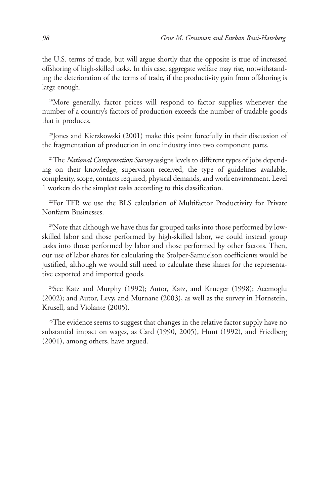the U.S. terms of trade, but will argue shortly that the opposite is true of increased offshoring of high-skilled tasks. In this case, aggregate welfare may rise, notwithstanding the deterioration of the terms of trade, if the productivity gain from offshoring is large enough.

<sup>19</sup>More generally, factor prices will respond to factor supplies whenever the number of a country's factors of production exceeds the number of tradable goods that it produces.

20Jones and Kierzkowski (2001) make this point forcefully in their discussion of the fragmentation of production in one industry into two component parts.

<sup>21</sup>The *National Compensation Survey* assigns levels to different types of jobs depending on their knowledge, supervision received, the type of guidelines available, complexity, scope, contacts required, physical demands, and work environment. Level 1 workers do the simplest tasks according to this classification.

<sup>22</sup>For TFP, we use the BLS calculation of Multifactor Productivity for Private Nonfarm Businesses.

<sup>23</sup>Note that although we have thus far grouped tasks into those performed by lowskilled labor and those performed by high-skilled labor, we could instead group tasks into those performed by labor and those performed by other factors. Then, our use of labor shares for calculating the Stolper-Samuelson coefficients would be justified, although we would still need to calculate these shares for the representative exported and imported goods.

24See Katz and Murphy (1992); Autor, Katz, and Krueger (1998); Acemoglu (2002); and Autor, Levy, and Murnane (2003), as well as the survey in Hornstein, Krusell, and Violante (2005).

 $25$ The evidence seems to suggest that changes in the relative factor supply have no substantial impact on wages, as Card (1990, 2005), Hunt (1992), and Friedberg (2001), among others, have argued.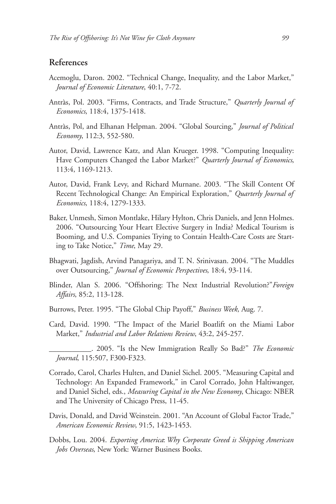# **References**

- Acemoglu, Daron. 2002. "Technical Change, Inequality, and the Labor Market," *Journal of Economic Literature*, 40:1, 7-72.
- Antràs, Pol. 2003. "Firms, Contracts, and Trade Structure," *Quarterly Journal of Economics*, 118:4, 1375-1418.
- Antràs, Pol, and Elhanan Helpman. 2004. "Global Sourcing," *Journal of Political Economy*, 112:3, 552-580.
- Autor, David, Lawrence Katz, and Alan Krueger. 1998. "Computing Inequality: Have Computers Changed the Labor Market?" *Quarterly Journal of Economics*, 113:4, 1169-1213.
- Autor, David, Frank Levy, and Richard Murnane. 2003. "The Skill Content Of Recent Technological Change: An Empirical Exploration," *Quarterly Journal of Economics*, 118:4, 1279-1333.
- Baker, Unmesh, Simon Montlake, Hilary Hylton, Chris Daniels, and Jenn Holmes. 2006. "Outsourcing Your Heart Elective Surgery in India? Medical Tourism is Booming, and U.S. Companies Trying to Contain Health-Care Costs are Starting to Take Notice," *Time*, May 29.
- Bhagwati, Jagdish, Arvind Panagariya, and T. N. Srinivasan. 2004. "The Muddles over Outsourcing," *Journal of Economic Perspectives*, 18:4, 93-114.
- Blinder, Alan S. 2006. "Offshoring: The Next Industrial Revolution?"*Foreign Affairs*, 85:2, 113-128.
- Burrows, Peter. 1995. "The Global Chip Payoff," *Business Week*, Aug. 7.
- Card, David. 1990. "The Impact of the Mariel Boatlift on the Miami Labor Market," *Industrial and Labor Relations Review*, 43:2, 245-257.
- \_\_\_\_\_\_\_\_\_\_\_. 2005. "Is the New Immigration Really So Bad?" *The Economic Journal*, 115:507, F300-F323.
- Corrado, Carol, Charles Hulten, and Daniel Sichel. 2005. "Measuring Capital and Technology: An Expanded Framework," in Carol Corrado, John Haltiwanger, and Daniel Sichel, eds., *Measuring Capital in the New Economy*, Chicago: NBER and The University of Chicago Press, 11-45.
- Davis, Donald, and David Weinstein. 2001. "An Account of Global Factor Trade," *American Economic Review*, 91:5, 1423-1453.
- Dobbs, Lou. 2004. *Exporting America*:*Why Corporate Greed is Shipping American Jobs Overseas*, New York: Warner Business Books.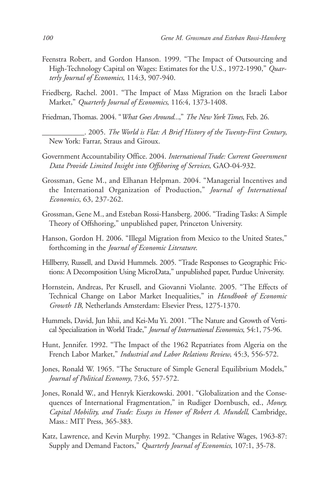- Feenstra Robert, and Gordon Hanson. 1999. "The Impact of Outsourcing and High-Technology Capital on Wages: Estimates for the U.S., 1972-1990," *Quarterly Journal of Economics*, 114:3, 907-940.
- Friedberg, Rachel. 2001. "The Impact of Mass Migration on the Israeli Labor Market," *Quarterly Journal of Economics*, 116:4, 1373-1408.
- Friedman, Thomas. 2004. "*What Goes Around...*," *The New York Times*, Feb. 26.
	- \_\_\_\_\_\_\_\_\_\_\_. 2005. *The World is Flat: A Brief History of the Twenty-First Century*, New York: Farrar, Straus and Giroux.
- Government Accountability Office. 2004. *International Trade: Current Government Data Provide Limited Insight into Offshoring of Services*, GAO-04-932.
- Grossman, Gene M., and Elhanan Helpman. 2004. "Managerial Incentives and the International Organization of Production," *Journal of International Economics*, 63, 237-262.
- Grossman, Gene M., and Esteban Rossi-Hansberg. 2006. "Trading Tasks: A Simple Theory of Offshoring," unpublished paper, Princeton University.
- Hanson, Gordon H. 2006. "Illegal Migration from Mexico to the United States," forthcoming in the *Journal of Economic Literature*.
- Hillberry, Russell, and David Hummels. 2005. "Trade Responses to Geographic Frictions: A Decomposition Using MicroData," unpublished paper, Purdue University.
- Hornstein, Andreas, Per Krusell, and Giovanni Violante. 2005. "The Effects of Technical Change on Labor Market Inequalities," in *Handbook of Economic Growth 1B*, Netherlands Amsterdam: Elsevier Press, 1275-1370.
- Hummels, David, Jun Ishii, and Kei-Mu Yi. 2001. "The Nature and Growth of Vertical Specialization in World Trade," *Journal of International Economics*, 54:1, 75-96.
- Hunt, Jennifer. 1992. "The Impact of the 1962 Repatriates from Algeria on the French Labor Market," *Industrial and Labor Relations Review*, 45:3, 556-572.
- Jones, Ronald W. 1965. "The Structure of Simple General Equilibrium Models," *Journal of Political Economy*, 73:6, 557-572.
- Jones, Ronald W., and Henryk Kierzkowski. 2001. "Globalization and the Consequences of International Fragmentation," in Rudiger Dornbusch, ed., *Money, Capital Mobility, and Trade: Essays in Honor of Robert A. Mundell*, Cambridge, Mass.: MIT Press, 365-383.
- Katz, Lawrence, and Kevin Murphy. 1992. "Changes in Relative Wages, 1963-87: Supply and Demand Factors," *Quarterly Journal of Economics*, 107:1, 35-78.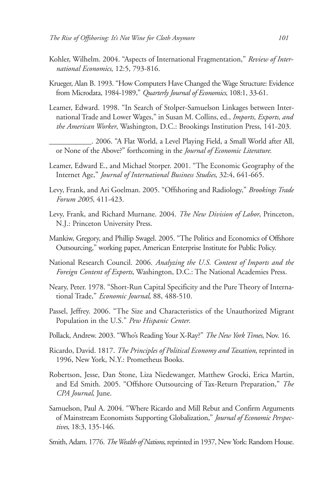- Kohler, Wilhelm. 2004. "Aspects of International Fragmentation," *Review of International Economics*, 12:5, 793-816.
- Krueger, Alan B. 1993. "How Computers Have Changed the Wage Structure: Evidence from Microdata, 1984-1989," *Quarterly Journal of Economics*, 108:1, 33-61.
- Leamer, Edward. 1998. "In Search of Stolper-Samuelson Linkages between International Trade and Lower Wages," in Susan M. Collins, ed., *Imports, Exports, and the American Worker*, Washington, D.C.: Brookings Institution Press, 141-203.

\_\_\_\_\_\_\_\_\_\_\_. 2006. "A Flat World, a Level Playing Field, a Small World after All, or None of the Above?" forthcoming in the *Journal of Economic Literature.*

- Leamer, Edward E., and Michael Storper. 2001. "The Economic Geography of the Internet Age," *Journal of International Business Studies*, 32:4, 641-665.
- Levy, Frank, and Ari Goelman. 2005. "Offshoring and Radiology," *Brookings Trade Forum 2005*, 411-423.
- Levy, Frank, and Richard Murnane. 2004. *The New Division of Labor*, Princeton, N.J.: Princeton University Press.
- Mankiw, Gregory, and Phillip Swagel. 2005. "The Politics and Economics of Offshore Outsourcing," working paper, American Enterprise Institute for Public Policy.
- National Research Council. 2006. *Analyzing the U.S. Content of Imports and the Foreign Content of Exports*, Washington, D.C.: The National Academies Press.
- Neary, Peter. 1978. "Short-Run Capital Specificity and the Pure Theory of International Trade," *Economic Journal*, 88, 488-510.
- Passel, Jeffrey. 2006. "The Size and Characteristics of the Unauthorized Migrant Population in the U.S." *Pew Hispanic Center*.
- Pollack, Andrew. 2003. "Who's Reading Your X-Ray?" *The New York Times*, Nov. 16.
- Ricardo, David. 1817. *The Principles of Political Economy and Taxation*, reprinted in 1996, New York, N.Y.: Prometheus Books.
- Robertson, Jesse, Dan Stone, Liza Niedewanger, Matthew Grocki, Erica Martin, and Ed Smith. 2005. "Offshore Outsourcing of Tax-Return Preparation," *The CPA Journal*, June.
- Samuelson, Paul A. 2004. "Where Ricardo and Mill Rebut and Confirm Arguments of Mainstream Economists Supporting Globalization," *Journal of Economic Perspectives*, 18:3, 135-146.

Smith, Adam. 1776. *The Wealth of Nations*, reprinted in 1937, New York: Random House.